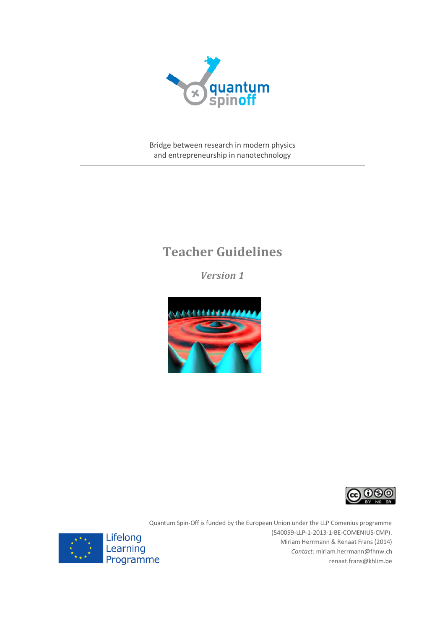

Bridge between research in modern physics and entrepreneurship in nanotechnology

# **Teacher Guidelines**

*Version 1*





Quantum Spin-Off is funded by the European Union under the LLP Comenius programme (540059-LLP-1-2013-1-BE-COMENIUS-CMP). Miriam Herrmann & Renaat Frans (2014) *Contact:* [miriam.herrmann@fhnw.ch](file:///C:/Users/miriam.herrmann/Desktop/miriam.herrmann@fhnw.ch) [renaat.frans@khlim.be](mailto:renaat.frans@khlim.be)

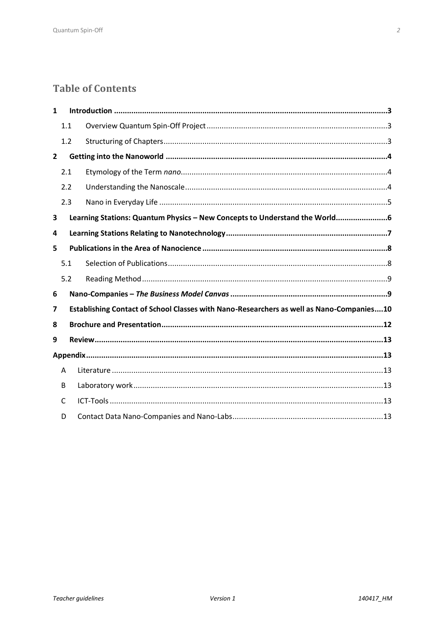# **Table of Contents**

| 1              |                                                                            |                                                                                          |  |
|----------------|----------------------------------------------------------------------------|------------------------------------------------------------------------------------------|--|
|                | 1.1                                                                        |                                                                                          |  |
|                | 1.2                                                                        |                                                                                          |  |
| $\overline{2}$ |                                                                            |                                                                                          |  |
|                | 2.1                                                                        |                                                                                          |  |
|                | 2.2                                                                        |                                                                                          |  |
|                | 2.3                                                                        |                                                                                          |  |
| 3              | Learning Stations: Quantum Physics - New Concepts to Understand the World6 |                                                                                          |  |
| 4              |                                                                            |                                                                                          |  |
| 5              |                                                                            |                                                                                          |  |
|                | 5.1                                                                        |                                                                                          |  |
|                | 5.2                                                                        |                                                                                          |  |
| 6              |                                                                            |                                                                                          |  |
| 7              |                                                                            | Establishing Contact of School Classes with Nano-Researchers as well as Nano-Companies10 |  |
| 8              |                                                                            |                                                                                          |  |
| 9              |                                                                            |                                                                                          |  |
|                |                                                                            |                                                                                          |  |
|                | A                                                                          |                                                                                          |  |
|                | B                                                                          |                                                                                          |  |
|                | С                                                                          |                                                                                          |  |
|                | D                                                                          |                                                                                          |  |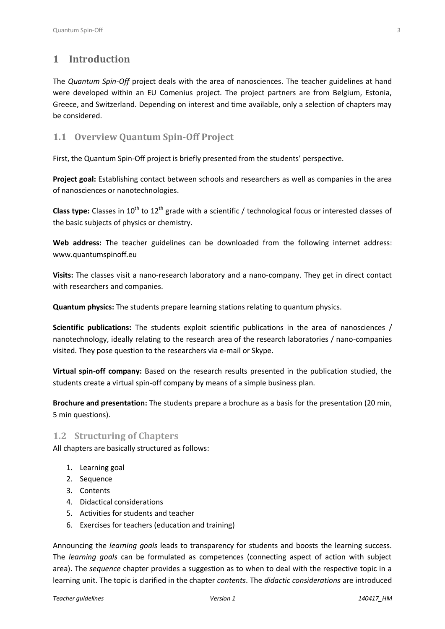# <span id="page-2-0"></span>**1 Introduction**

The *Quantum Spin-Off* project deals with the area of nanosciences. The teacher guidelines at hand were developed within an EU Comenius project. The project partners are from Belgium, Estonia, Greece, and Switzerland. Depending on interest and time available, only a selection of chapters may be considered.

# <span id="page-2-1"></span>**1.1 Overview Quantum Spin-Off Project**

First, the Quantum Spin-Off project is briefly presented from the students' perspective.

**Project goal:** Establishing contact between schools and researchers as well as companies in the area of nanosciences or nanotechnologies.

**Class type:** Classes in 10<sup>th</sup> to 12<sup>th</sup> grade with a scientific / technological focus or interested classes of the basic subjects of physics or chemistry.

**Web address:** The teacher guidelines can be downloaded from the following internet address: [www.quantumspinoff.eu](file:///C:/Users/miriam.herrmann/Desktop/www.quantumspinoff.eu)

**Visits:** The classes visit a nano-research laboratory and a nano-company. They get in direct contact with researchers and companies.

**Quantum physics:** The students prepare learning stations relating to quantum physics.

**Scientific publications:** The students exploit scientific publications in the area of nanosciences / nanotechnology, ideally relating to the research area of the research laboratories / nano-companies visited. They pose question to the researchers via e-mail or Skype.

**Virtual spin-off company:** Based on the research results presented in the publication studied, the students create a virtual spin-off company by means of a simple business plan.

**Brochure and presentation:** The students prepare a brochure as a basis for the presentation (20 min, 5 min questions).

## <span id="page-2-2"></span>**1.2 Structuring of Chapters**

All chapters are basically structured as follows:

- 1. Learning goal
- 2. Sequence
- 3. Contents
- 4. Didactical considerations
- 5. Activities for students and teacher
- 6. Exercises for teachers (education and training)

Announcing the *learning goals* leads to transparency for students and boosts the learning success. The *learning goals* can be formulated as competences (connecting aspect of action with subject area). The *sequence* chapter provides a suggestion as to when to deal with the respective topic in a learning unit. The topic is clarified in the chapter *contents*. The *didactic considerations* are introduced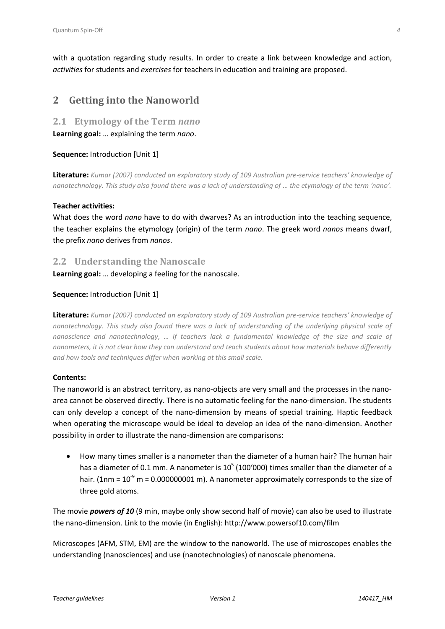with a quotation regarding study results. In order to create a link between knowledge and action, *activities* for students and *exercises* for teachers in education and training are proposed.

# <span id="page-3-0"></span>**2 Getting into the Nanoworld**

### <span id="page-3-1"></span>**2.1 Etymology of the Term** *nano*

**Learning goal:** … explaining the term *nano*.

### **Sequence:** Introduction [Unit 1]

**Literature:** *Kumar (2007) conducted an exploratory study of 109 Australian pre-service teachers' knowledge of nanotechnology. This study also found there was a lack of understanding of ... the etymology of the term 'nano'.* 

### **Teacher activities:**

What does the word *nano* have to do with dwarves? As an introduction into the teaching sequence, the teacher explains the etymology (origin) of the term *nano*. The greek word *nanos* means dwarf, the prefix *nano* derives from *nanos*.

### <span id="page-3-2"></span>**2.2 Understanding the Nanoscale**

**Learning goal:** … developing a feeling for the nanoscale.

### **Sequence:** Introduction [Unit 1]

**Literature:** *Kumar (2007) conducted an exploratory study of 109 Australian pre-service teachers' knowledge of nanotechnology. This study also found there was a lack of understanding of the underlying physical scale of nanoscience and nanotechnology, … If teachers lack a fundamental knowledge of the size and scale of nanometers, it is not clear how they can understand and teach students about how materials behave differently and how tools and techniques differ when working at this small scale.*

#### **Contents:**

The nanoworld is an abstract territory, as nano-objects are very small and the processes in the nanoarea cannot be observed directly. There is no automatic feeling for the nano-dimension. The students can only develop a concept of the nano-dimension by means of special training. Haptic feedback when operating the microscope would be ideal to develop an idea of the nano-dimension. Another possibility in order to illustrate the nano-dimension are comparisons:

 How many times smaller is a nanometer than the diameter of a human hair? The human hair has a diameter of 0.1 mm. A nanometer is  $10^5$  (100'000) times smaller than the diameter of a hair. (1nm =  $10^{-9}$  m = 0.000000001 m). A nanometer approximately corresponds to the size of three gold atoms.

The movie *powers of 10* (9 min, maybe only show second half of movie) can also be used to illustrate the nano-dimension. Link to the movie (in English): <http://www.powersof10.com/film>

Microscopes (AFM, STM, EM) are the window to the nanoworld. The use of microscopes enables the understanding (nanosciences) and use (nanotechnologies) of nanoscale phenomena.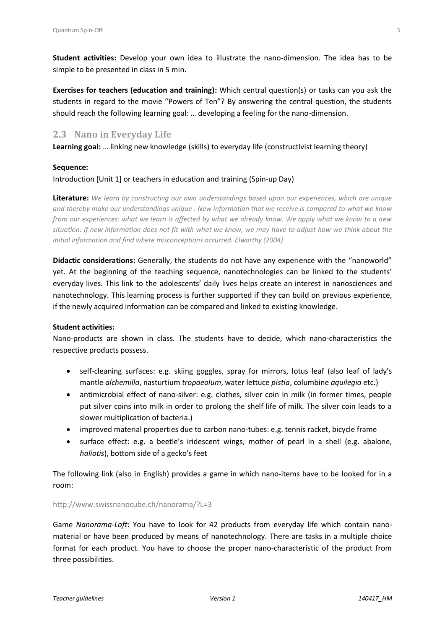**Student activities:** Develop your own idea to illustrate the nano-dimension. The idea has to be simple to be presented in class in 5 min.

**Exercises for teachers (education and training):** Which central question(s) or tasks can you ask the students in regard to the movie "Powers of Ten"? By answering the central question, the students should reach the following learning goal: … developing a feeling for the nano-dimension.

# <span id="page-4-0"></span>**2.3 Nano in Everyday Life**

**Learning goal:** … linking new knowledge (skills) to everyday life (constructivist learning theory)

### **Sequence:**

### Introduction [Unit 1] or teachers in education and training (Spin-up Day)

**Literature:** *We learn by constructing our own understandings based upon our experiences, which are unique and thereby make our understandings unique . New information that we receive is compared to what we know from our experiences: what we learn is affected by what we already know. We apply what we know to a new situation: if new information does not fit with what we know, we may have to adjust how we think about the initial information and find where misconceptions occurred. Elworthy (2004)*

**Didactic considerations:** Generally, the students do not have any experience with the "nanoworld" yet. At the beginning of the teaching sequence, nanotechnologies can be linked to the students' everyday lives. This link to the adolescents' daily lives helps create an interest in nanosciences and nanotechnology. This learning process is further supported if they can build on previous experience, if the newly acquired information can be compared and linked to existing knowledge.

### **Student activities:**

Nano-products are shown in class. The students have to decide, which nano-characteristics the respective products possess.

- self-cleaning surfaces: e.g. skiing goggles, spray for mirrors, lotus leaf (also leaf of lady's mantle *alchemilla*, nasturtium *tropaeolum*, water lettuce *pistia*, columbine *aquilegia* etc.)
- antimicrobial effect of nano-silver: e.g. clothes, silver coin in milk (in former times, people put silver coins into milk in order to prolong the shelf life of milk. The silver coin leads to a slower multiplication of bacteria.)
- improved material properties due to carbon nano-tubes: e.g. tennis racket, bicycle frame
- surface effect: e.g. a beetle's iridescent wings, mother of pearl in a shell (e.g. abalone, *haliotis*), bottom side of a gecko's feet

The following link (also in English) provides a game in which nano-items have to be looked for in a room:

#### <http://www.swissnanocube.ch/nanorama/?L=3>

Game *Nanorama-Loft*: You have to look for 42 products from everyday life which contain nanomaterial or have been produced by means of nanotechnology. There are tasks in a multiple choice format for each product. You have to choose the proper nano-characteristic of the product from three possibilities.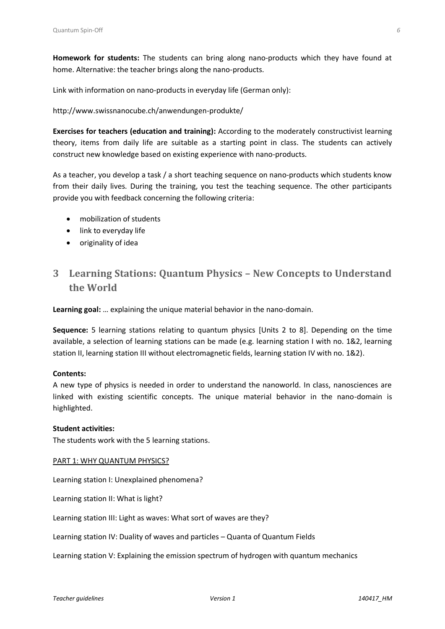**Homework for students:** The students can bring along nano-products which they have found at home. Alternative: the teacher brings along the nano-products.

Link with information on nano-products in everyday life (German only):

### <http://www.swissnanocube.ch/anwendungen-produkte/>

**Exercises for teachers (education and training):** According to the moderately constructivist learning theory, items from daily life are suitable as a starting point in class. The students can actively construct new knowledge based on existing experience with nano-products.

As a teacher, you develop a task / a short teaching sequence on nano-products which students know from their daily lives. During the training, you test the teaching sequence. The other participants provide you with feedback concerning the following criteria:

- mobilization of students
- link to everyday life
- originality of idea

# <span id="page-5-0"></span>**3 Learning Stations: Quantum Physics – New Concepts to Understand the World**

**Learning goal:** … explaining the unique material behavior in the nano-domain.

**Sequence:** 5 learning stations relating to quantum physics [Units 2 to 8]. Depending on the time available, a selection of learning stations can be made (e.g. learning station I with no. 1&2, learning station II, learning station III without electromagnetic fields, learning station IV with no. 1&2).

#### **Contents:**

A new type of physics is needed in order to understand the nanoworld. In class, nanosciences are linked with existing scientific concepts. The unique material behavior in the nano-domain is highlighted.

#### **Student activities:**

The students work with the 5 learning stations.

#### PART 1: WHY QUANTUM PHYSICS?

Learning station I: Unexplained phenomena?

Learning station II: What is light?

Learning station III: Light as waves: What sort of waves are they?

Learning station IV: Duality of waves and particles – Quanta of Quantum Fields

Learning station V: Explaining the emission spectrum of hydrogen with quantum mechanics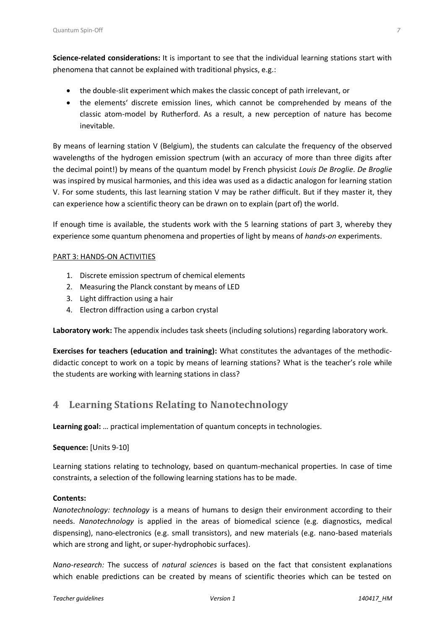**Science-related considerations:** It is important to see that the individual learning stations start with phenomena that cannot be explained with traditional physics, e.g.:

- the double-slit experiment which makes the classic concept of path irrelevant, or
- the elements' discrete emission lines, which cannot be comprehended by means of the classic atom-model by Rutherford. As a result, a new perception of nature has become inevitable.

By means of learning station V (Belgium), the students can calculate the frequency of the observed wavelengths of the hydrogen emission spectrum (with an accuracy of more than three digits after the decimal point!) by means of the quantum model by French physicist *Louis De Broglie*. *De Broglie* was inspired by musical harmonies, and this idea was used as a didactic analogon for learning station V. For some students, this last learning station V may be rather difficult. But if they master it, they can experience how a scientific theory can be drawn on to explain (part of) the world.

If enough time is available, the students work with the 5 learning stations of part 3, whereby they experience some quantum phenomena and properties of light by means of *hands-on* experiments.

### PART 3: HANDS-ON ACTIVITIES

- 1. Discrete emission spectrum of chemical elements
- 2. Measuring the Planck constant by means of LED
- 3. Light diffraction using a hair
- 4. Electron diffraction using a carbon crystal

**Laboratory work:** The appendix includes task sheets (including solutions) regarding laboratory work.

**Exercises for teachers (education and training):** What constitutes the advantages of the methodicdidactic concept to work on a topic by means of learning stations? What is the teacher's role while the students are working with learning stations in class?

# <span id="page-6-0"></span>**4 Learning Stations Relating to Nanotechnology**

**Learning goal:** … practical implementation of quantum concepts in technologies.

### **Sequence:** [Units 9-10]

Learning stations relating to technology, based on quantum-mechanical properties. In case of time constraints, a selection of the following learning stations has to be made.

### **Contents:**

*Nanotechnology: technology* is a means of humans to design their environment according to their needs. *Nanotechnology* is applied in the areas of biomedical science (e.g. diagnostics, medical dispensing), nano-electronics (e.g. small transistors), and new materials (e.g. nano-based materials which are strong and light, or super-hydrophobic surfaces).

*Nano-research:* The success of *natural sciences* is based on the fact that consistent explanations which enable predictions can be created by means of scientific theories which can be tested on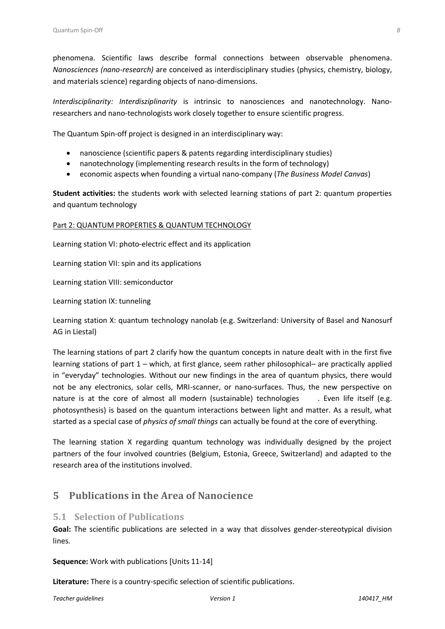phenomena. Scientific laws describe formal connections between observable phenomena. *Nanosciences (nano-research)* are conceived as interdisciplinary studies (physics, chemistry, biology, and materials science) regarding objects of nano-dimensions.

*Interdisciplinarity: Interdisziplinarity* is intrinsic to nanosciences and nanotechnology. Nanoresearchers and nano-technologists work closely together to ensure scientific progress.

The Quantum Spin-off project is designed in an interdisciplinary way:

- nanoscience (scientific papers & patents regarding interdisciplinary studies)
- nanotechnology (implementing research results in the form of technology)
- economic aspects when founding a virtual nano-company (*The Business Model Canvas*)

**Student activities:** the students work with selected learning stations of part 2: quantum properties and quantum technology

#### Part 2: QUANTUM PROPERTIES & QUANTUM TECHNOLOGY

Learning station VI: photo-electric effect and its application

Learning station VII: spin and its applications

Learning station VIII: semiconductor

Learning station IX: tunneling

Learning station X: quantum technology nanolab (e.g. Switzerland: University of Basel and Nanosurf AG in Liestal)

The learning stations of part 2 clarify how the quantum concepts in nature dealt with in the first five learning stations of part 1 – which, at first glance, seem rather philosophical– are practically applied in "everyday" technologies. Without our new findings in the area of quantum physics, there would not be any electronics, solar cells, MRI-scanner, or nano-surfaces. Thus, the new perspective on nature is at the core of almost all modern (sustainable) technologies . Even life itself (e.g. photosynthesis) is based on the quantum interactions between light and matter. As a result, what started as a special case of *physics of small things* can actually be found at the core of everything.

The learning station X regarding quantum technology was individually designed by the project partners of the four involved countries (Belgium, Estonia, Greece, Switzerland) and adapted to the research area of the institutions involved.

# <span id="page-7-0"></span>**5 Publications in the Area of Nanocience**

### <span id="page-7-1"></span>**5.1 Selection of Publications**

**Goal:** The scientific publications are selected in a way that dissolves gender-stereotypical division lines.

**Sequence:** Work with publications [Units 11-14]

**Literature:** There is a country-specific selection of scientific publications.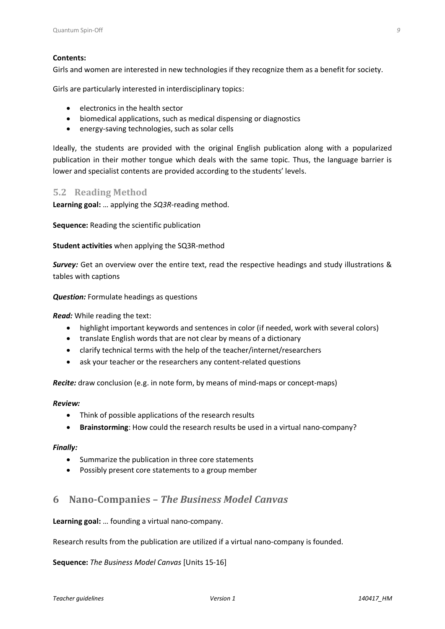### **Contents:**

Girls and women are interested in new technologies if they recognize them as a benefit for society.

Girls are particularly interested in interdisciplinary topics:

- electronics in the health sector
- biomedical applications, such as medical dispensing or diagnostics
- energy-saving technologies, such as solar cells

Ideally, the students are provided with the original English publication along with a popularized publication in their mother tongue which deals with the same topic. Thus, the language barrier is lower and specialist contents are provided according to the students' levels.

### <span id="page-8-0"></span>**5.2 Reading Method**

**Learning goal:** … applying the *SQ3R*-reading method.

**Sequence:** Reading the scientific publication

### **Student activities** when applying the SQ3R-method

*Survey:* Get an overview over the entire text, read the respective headings and study illustrations & tables with captions

#### *Question:* Formulate headings as questions

*Read:* While reading the text:

- highlight important keywords and sentences in color (if needed, work with several colors)
- translate English words that are not clear by means of a dictionary
- clarify technical terms with the help of the teacher/internet/researchers
- ask your teacher or the researchers any content-related questions

*Recite:* draw conclusion (e.g. in note form, by means of mind-maps or concept-maps)

#### *Review:*

- Think of possible applications of the research results
- **Brainstorming**: How could the research results be used in a virtual nano-company?

#### *Finally:*

- Summarize the publication in three core statements
- <span id="page-8-1"></span>Possibly present core statements to a group member

# **6 Nano-Companies –** *The Business Model Canvas*

**Learning goal:** … founding a virtual nano-company.

Research results from the publication are utilized if a virtual nano-company is founded.

**Sequence:** *The Business Model Canvas* [Units 15-16]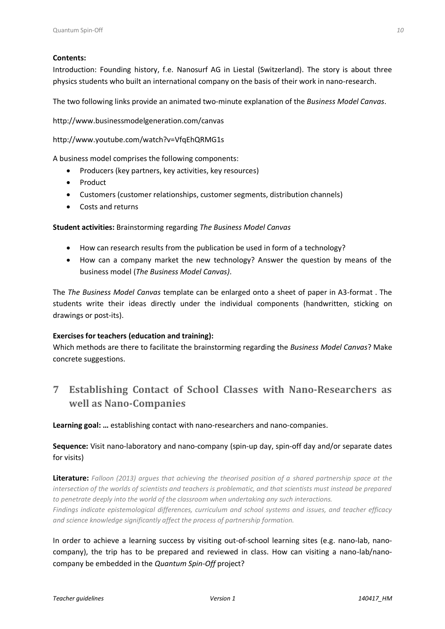### **Contents:**

Introduction: Founding history, f.e. Nanosurf AG in Liestal (Switzerland). The story is about three physics students who built an international company on the basis of their work in nano-research.

The two following links provide an animated two-minute explanation of the *Business Model Canvas*.

<http://www.businessmodelgeneration.com/canvas>

<http://www.youtube.com/watch?v=VfqEhQRMG1s>

A business model comprises the following components:

- Producers (key partners, key activities, key resources)
- Product
- Customers (customer relationships, customer segments, distribution channels)
- Costs and returns

**Student activities:** Brainstorming regarding *The Business Model Canvas*

- How can research results from the publication be used in form of a technology?
- How can a company market the new technology? Answer the question by means of the business model (*The Business Model Canvas)*.

The *The Business Model Canvas* template can be enlarged onto a sheet of paper in A3-format . The students write their ideas directly under the individual components (handwritten, sticking on drawings or post-its).

### **Exercises for teachers (education and training):**

Which methods are there to facilitate the brainstorming regarding the *Business Model Canvas*? Make concrete suggestions.

# <span id="page-9-0"></span>**7 Establishing Contact of School Classes with Nano-Researchers as well as Nano-Companies**

**Learning goal: …** establishing contact with nano-researchers and nano-companies.

# **Sequence:** Visit nano-laboratory and nano-company (spin-up day, spin-off day and/or separate dates for visits)

**Literature:** *Falloon (2013) argues that achieving the theorised position of a shared partnership space at the intersection of the worlds of scientists and teachers is problematic, and that scientists must instead be prepared to penetrate deeply into the world of the classroom when undertaking any such interactions. Findings indicate epistemological differences, curriculum and school systems and issues, and teacher efficacy and science knowledge significantly affect the process of partnership formation.*

In order to achieve a learning success by visiting out-of-school learning sites (e.g. nano-lab, nanocompany), the trip has to be prepared and reviewed in class. How can visiting a nano-lab/nanocompany be embedded in the *Quantum Spin-Off* project?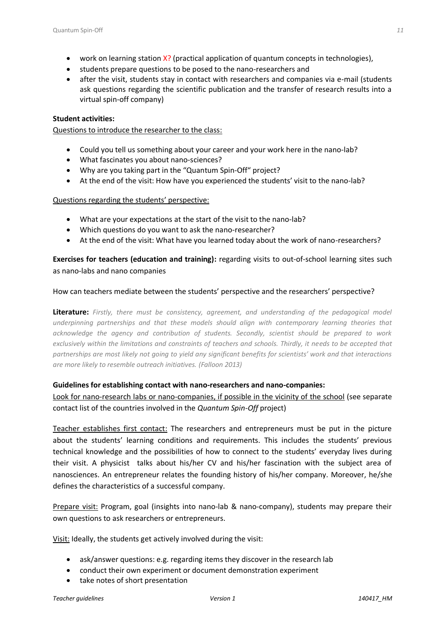- work on learning station X? (practical application of quantum concepts in technologies),
- students prepare questions to be posed to the nano-researchers and
- after the visit, students stay in contact with researchers and companies via e-mail (students ask questions regarding the scientific publication and the transfer of research results into a virtual spin-off company)

### **Student activities:**

Questions to introduce the researcher to the class:

- Could you tell us something about your career and your work here in the nano-lab?
- What fascinates you about nano-sciences?
- Why are you taking part in the "Quantum Spin-Off" project?
- At the end of the visit: How have you experienced the students' visit to the nano-lab?

### Questions regarding the students' perspective:

- What are your expectations at the start of the visit to the nano-lab?
- Which questions do you want to ask the nano-researcher?
- At the end of the visit: What have you learned today about the work of nano-researchers?

**Exercises for teachers (education and training):** regarding visits to out-of-school learning sites such as nano-labs and nano companies

### How can teachers mediate between the students' perspective and the researchers' perspective?

**Literature:** *Firstly, there must be consistency, agreement, and understanding of the pedagogical model underpinning partnerships and that these models should align with contemporary learning theories that acknowledge the agency and contribution of students. Secondly, scientist should be prepared to work*  exclusively within the limitations and constraints of teachers and schools. Thirdly, it needs to be accepted that *partnerships are most likely not going to yield any significant benefits for scientists' work and that interactions are more likely to resemble outreach initiatives. (Falloon 2013)*

### **Guidelines for establishing contact with nano-researchers and nano-companies:**

Look for nano-research labs or nano-companies, if possible in the vicinity of the school (see separate contact list of the countries involved in the *Quantum Spin-Off* project)

Teacher establishes first contact: The researchers and entrepreneurs must be put in the picture about the students' learning conditions and requirements. This includes the students' previous technical knowledge and the possibilities of how to connect to the students' everyday lives during their visit. A physicist talks about his/her CV and his/her fascination with the subject area of nanosciences. An entrepreneur relates the founding history of his/her company. Moreover, he/she defines the characteristics of a successful company.

Prepare visit: Program, goal (insights into nano-lab & nano-company), students may prepare their own questions to ask researchers or entrepreneurs.

Visit: Ideally, the students get actively involved during the visit:

- ask/answer questions: e.g. regarding items they discover in the research lab
- conduct their own experiment or document demonstration experiment
- take notes of short presentation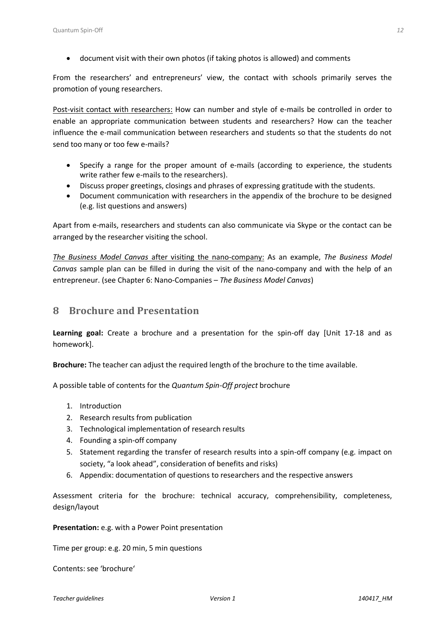document visit with their own photos (if taking photos is allowed) and comments

From the researchers' and entrepreneurs' view, the contact with schools primarily serves the promotion of young researchers.

Post-visit contact with researchers: How can number and style of e-mails be controlled in order to enable an appropriate communication between students and researchers? How can the teacher influence the e-mail communication between researchers and students so that the students do not send too many or too few e-mails?

- Specify a range for the proper amount of e-mails (according to experience, the students write rather few e-mails to the researchers).
- Discuss proper greetings, closings and phrases of expressing gratitude with the students.
- Document communication with researchers in the appendix of the brochure to be designed (e.g. list questions and answers)

Apart from e-mails, researchers and students can also communicate via Skype or the contact can be arranged by the researcher visiting the school.

*The Business Model Canvas* after visiting the nano-company: As an example, *The Business Model Canvas* sample plan can be filled in during the visit of the nano-company and with the help of an entrepreneur. (see Chapter 6: Nano-Companies – *The Business Model Canvas*)

# <span id="page-11-0"></span>**8 Brochure and Presentation**

**Learning goal:** Create a brochure and a presentation for the spin-off day [Unit 17-18 and as homework].

**Brochure:** The teacher can adjust the required length of the brochure to the time available.

A possible table of contents for the *Quantum Spin-Off project* brochure

- 1. Introduction
- 2. Research results from publication
- 3. Technological implementation of research results
- 4. Founding a spin-off company
- 5. Statement regarding the transfer of research results into a spin-off company (e.g. impact on society, "a look ahead", consideration of benefits and risks)
- 6. Appendix: documentation of questions to researchers and the respective answers

Assessment criteria for the brochure: technical accuracy, comprehensibility, completeness, design/layout

**Presentation:** e.g. with a Power Point presentation

Time per group: e.g. 20 min, 5 min questions

Contents: see 'brochure'